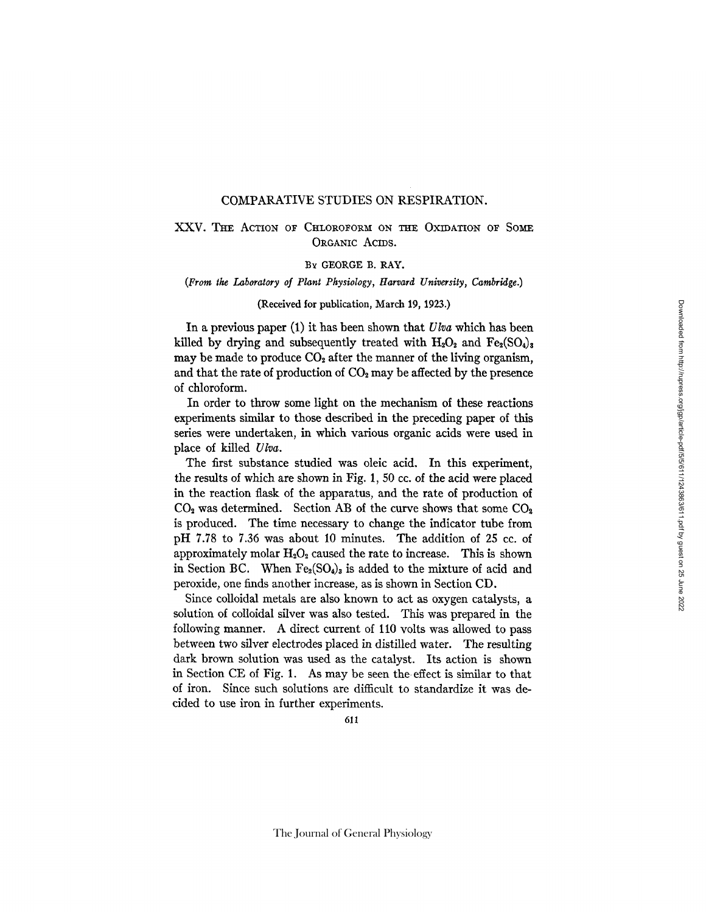### COMPARATIVE STUDIES ON RESPIRATION.

# XXV. THE ACTION OF CHLOROFORM ON THE OXIDATION OF SOME ORGANIC ACIDS.

## BY GEORGE B. RAY.

### *(From tke Laboratory of Plant Physiology, Harrard Unirersity, Cambridge.)*

## (Received for publication, March 19, 1923.)

In a previous paper (1) it has been shown that *Ulva* which has been killed by drying and subsequently treated with  $H_2O_2$  and  $Fe_2(SO_4)_3$ may be made to produce  $CO<sub>2</sub>$  after the manner of the living organism, and that the rate of production of  $CO<sub>2</sub>$  may be affected by the presence of chloroform.

In order to throw some light on the mechanism of these reactions experiments similar to those described in the preceding paper of this series were undertaken, in which various organic acids were used in place of killed *Ulva.* 

The first substance studied was oleic acid. In this experiment, the results of which are shown in Fig. 1, 50 co. of the acid were placed in the reaction flask of the apparatus, and the rate of production of  $CO<sub>2</sub>$  was determined. Section AB of the curve shows that some  $CO<sub>2</sub>$ is produced. The time necessary to change the indicator tube from pH 7.78 to 7.36 was about 10 minutes. The addition of 25 cc. of approximately molar  $H_2O_2$  caused the rate to increase. This is shown in Section BC. When  $Fe<sub>2</sub>(SO<sub>4</sub>)<sub>3</sub>$  is added to the mixture of acid and peroxide, one finds another increase, as is shown in Section CD.

Since colloidal metals are also known to act as oxygen catalysts, a solution of colloidal silver was also tested. This was prepared in the following manner. A direct current of 110 volts was allowed to pass between two silver electrodes placed in distilled water. The resulting dark brown solution was used as the catalyst. Its action is shown in Section CE of Fig. 1. As may be seen the effect is similar to that of iron. Since such solutions are difficult to standardize it was decided to use iron in further experiments.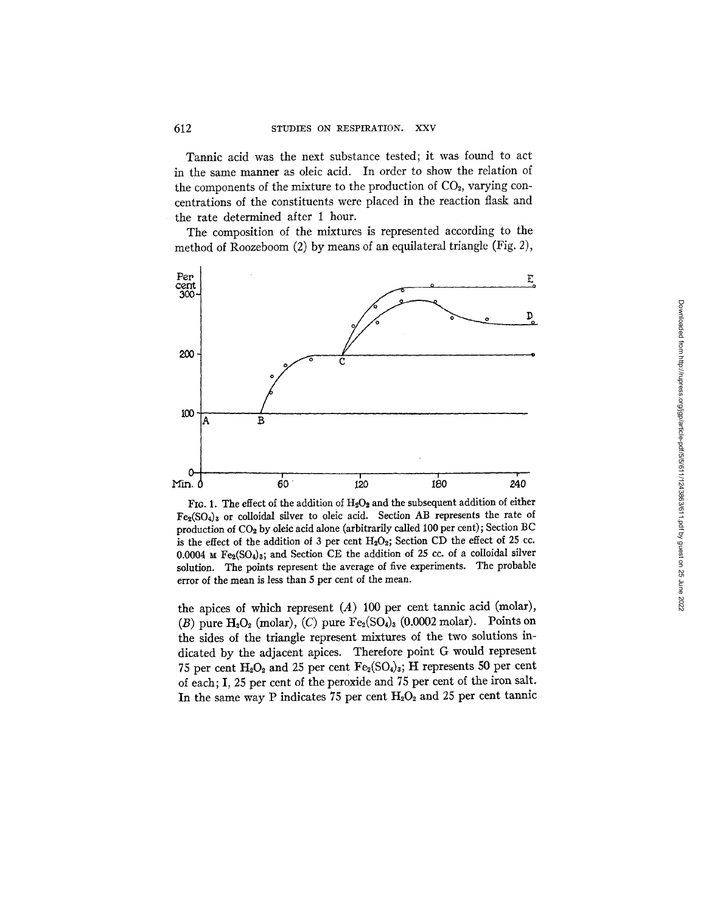Tannic acid was the next substance tested; it was found to act in the same manner as oleic acid. In order to show the relation of the components of the mixture to the production of  $CO<sub>2</sub>$ , varying concentrations of the constituents were placed in the reaction flask and the rate determined after 1 hour.

The composition of the mixtures is represented according to the method of Roozeboom (2) by means of an equilateral triangle (Fig. 2),



FIG. 1. The effect of the addition of  $H_2O_2$  and the subsequent addition of either  $Fe<sub>2</sub>(SO<sub>4</sub>)<sub>3</sub>$  or colloidal silver to oleic acid. Section AB represents the rate of production of CO<sub>2</sub> by oleic acid alone (arbitrarily called 100 per cent); Section BC is the effect of the addition of 3 per cent  $H_2O_2$ ; Section CD the effect of 25 cc. 0.0004  $\text{M}$  Fe<sub>2</sub>(SO<sub>4</sub>)<sub>3</sub>; and Section CE the addition of 25 cc. of a colloidal silver solution. The points represent the average of five experiments. The probable error of the mean is less than 5 per cent of the mean.

the apices of which represent  $(A)$  100 per cent tannic acid (molar), (B) pure  $H_2O_2$  (molar), (C) pure  $Fe_2(SO_4)_3$  (0.0002 molar). Points on the sides of the triangle represent mixtures of the two solutions indicated by the adjacent apices. Therefore point G would represent 75 per cent  $H_2O_2$  and 25 per cent  $Fe_2(SO_4)_3$ ; H represents 50 per cent of each; I, 25 per cent of the peroxide and 75 per cent of the iron salt. In the same way P indicates 75 per cent  $H_2O_2$  and 25 per cent tannic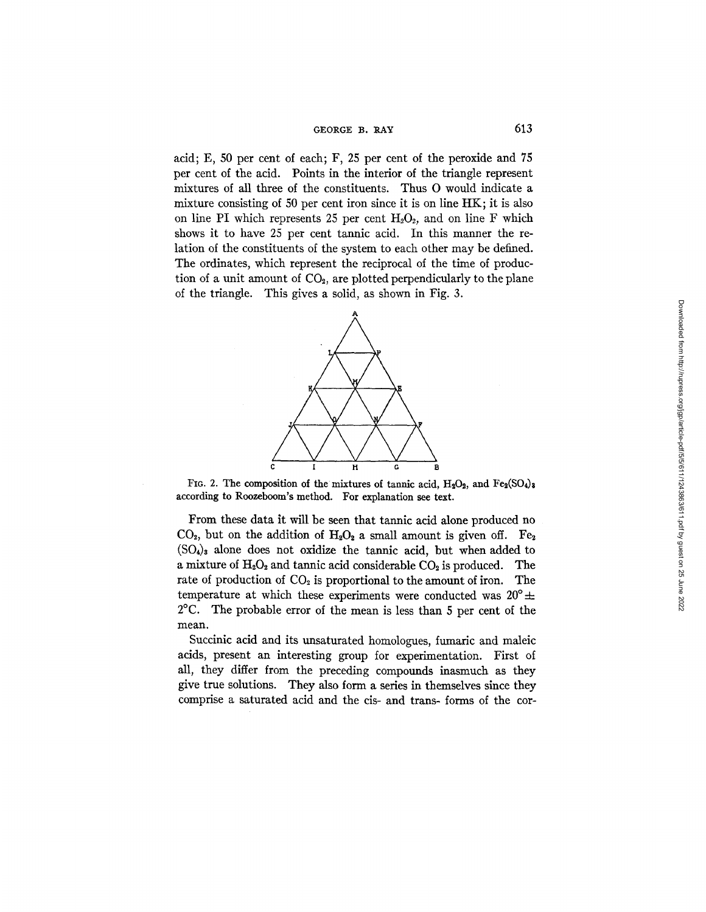## GEORGE B.  $RAY$  613

acid; E, 50 per cent of each; F, 25 per cent of the peroxide and 75 per cent of the acid. Points in the interior of the triangle represent mixtures of all three of the constituents. Thus O would indicate a mixture consisting of 50 per cent iron since it is on line HK; it is also on line PI which represents 25 per cent  $H_2O_2$ , and on line F which shows it to have 25 per cent tannic acid. In this manner the relation of the constituents of the system to each other may be defined. The ordinates, which represent the reciprocal of the time of production of a unit amount of  $CO<sub>2</sub>$ , are plotted perpendicularly to the plane of the triangle. This gives a solid, as shown in Fig. 3.



FIG. 2. The composition of the mixtures of tannic acid,  $H_2O_2$ , and  $Fe_2(SO_4)_8$ according to Roozeboom's method. For explanation see text.

From these data it will be seen that tannic acid alone produced no  $CO<sub>2</sub>$ , but on the addition of  $H<sub>2</sub>O<sub>2</sub>$  a small amount is given off. Fe<sub>2</sub>  $(SO_4)$ <sub>3</sub> alone does not oxidize the tannic acid, but when added to a mixture of  $H_2O_2$  and tannic acid considerable  $CO_2$  is produced. The rate of production of  $CO<sub>2</sub>$  is proportional to the amount of iron. The temperature at which these experiments were conducted was  $20^{\circ} \pm$ 2°C. The probable error of the mean is less than 5 per cent of the mean.

Succinic acid and its unsaturated homologues, fumaric and maleic acids, present an interesting group for experimentation. First of all, they differ from the preceding compounds inasmuch as they give true solutions. They also form a series in themselves since they comprise a saturated acid and the cis- and trans- forms of the cor-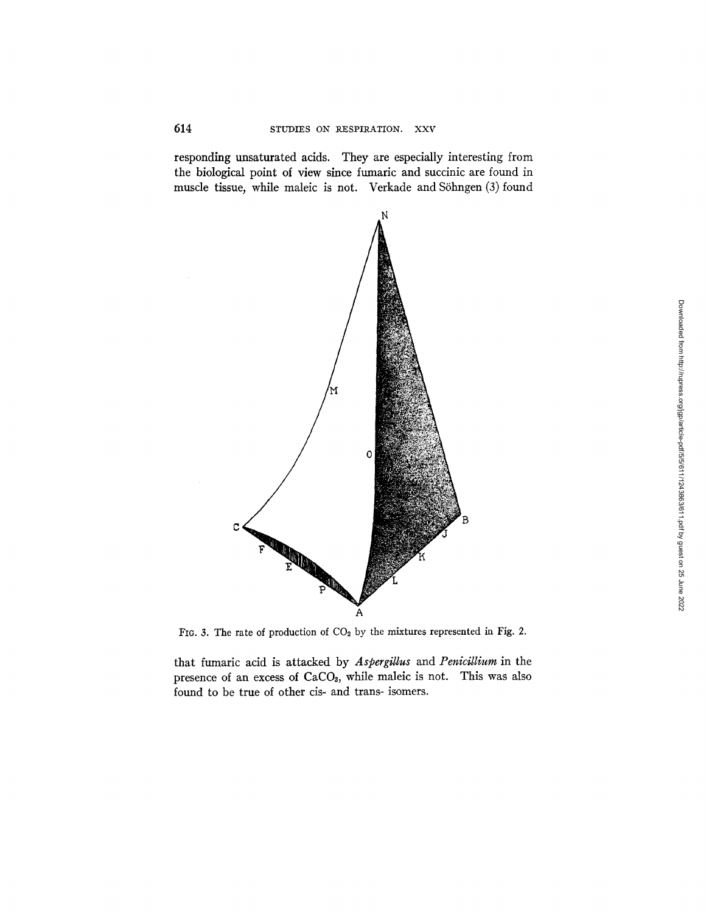responding unsaturated acids. They are especially interesting from the biological point of view since fumaric and succinic are found in muscle tissue, while maleic is not. Verkade and Söhngen (3) found



FIG. 3. The rate of production of  $CO<sub>2</sub>$  by the mixtures represented in Fig. 2.

that fumaric acid is attacked by *Aspergitlus* and *Penicitlium* in the presence of an excess of  $CaCO<sub>3</sub>$ , while maleic is not. This was also found to be true of other cis- and trans- isomers.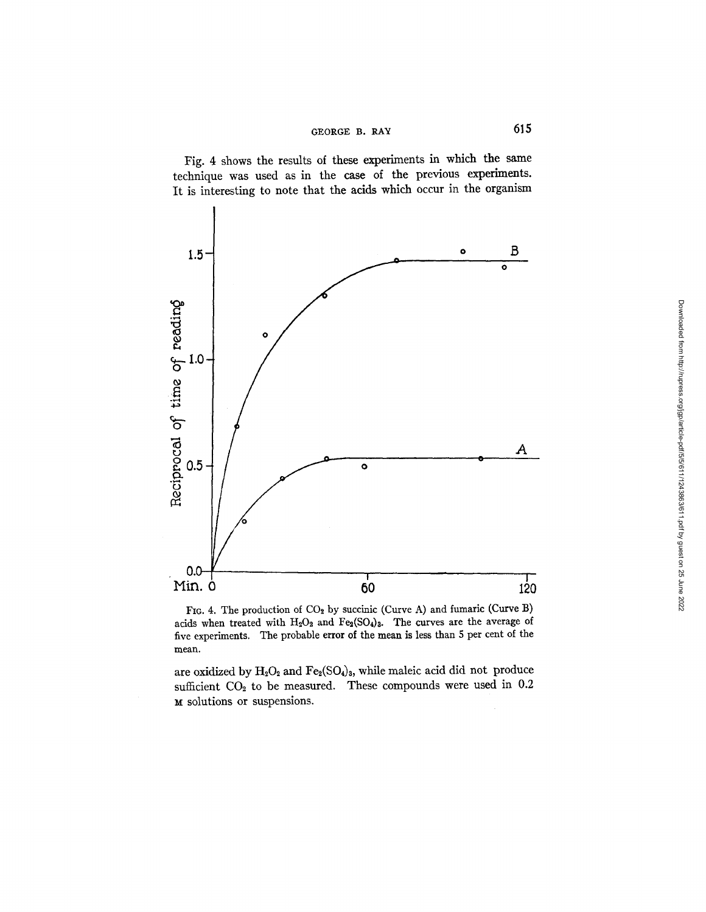

 $^{\rm o}_{\rm o}$ <sup>O</sup>**0.5-** 

o

**Fig. 4 shows the results of these experiments in which the same technique was used as in the case of the previous experiments.** 

FIG. 4. The production of  $CO<sub>2</sub>$  by succinic (Curve A) and fumaric (Curve B) acids when treated with  $H_2O_2$  and  $Fe_2(SO_4)_3$ . The curves are the average of five exper:mcnts. The probable error of the mean **is less than** 5 per cent of **the**  mean.

.... **! ! I**  min. 0 80 120

 $\bullet$ 

are oxidized by  $H_2O_2$  and  $Fe_2(SO_4)_3$ , while maleic acid did not produce sufficient CO<sub>2</sub> to be measured. These compounds were used in 0.2 **~t solutions or suspensions.** 

**A** 

O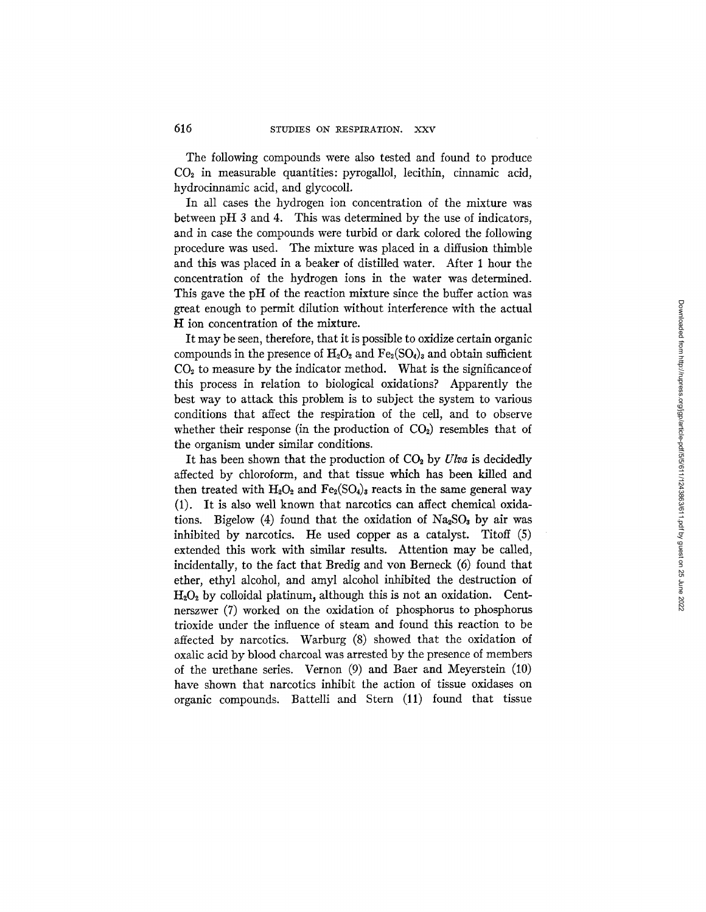The following compounds were also tested and found to produce  $CO<sub>2</sub>$  in measurable quantities: pyrogallol, lecithin, cinnamic acid, hydrocinnamic acid, and glycocoll.

In all cases the hydrogen ion concentration of the mixture was between pH 3 and 4. This was determined by the use of indicators, and in case the compounds were turbid or dark colored the following procedure was used. The mixture was placed in a diffusion thimble and this was placed in a beaker of distilled water. After 1 hour the concentration of the hydrogen ions in the water was determined. This gave the pH of the reaction mixture since the buffer action was great enough to permit dilution without interference with the actual H ion concentration of the mixture.

It may be seen, therefore, that it is possible to oxidize certain organic compounds in the presence of  $H_2O_2$  and  $Fe_2(SO_4)_3$  and obtain sufficient  $CO<sub>2</sub>$  to measure by the indicator method. What is the significance of this process in relation to biological oxidations? Apparently the best way to attack this problem is to subject the system to various conditions that affect the respiration of the cell, and to observe whether their response (in the production of  $CO<sub>2</sub>$ ) resembles that of the organism under similar conditions.

It has been shown that the production of  $CO<sub>2</sub>$  by *Ulva* is decidedly affected by chloroform, and that tissue which has been killed and then treated with  $H_2O_2$  and  $Fe_2(SO_4)_3$  reacts in the same general way (1). It is also well known that narcotics can affect chemical oxidations. Bigelow (4) found that the oxidation of  $Na<sub>2</sub>SO<sub>3</sub>$  by air was inhibited by narcotics. He used copper as a catalyst. Titoff (5) extended this work with similar results. Attention may be called, incidentally, to the fact that Bredig and yon Berneck (6) found that ether, ethyl alcohol, and amyl alcohol inhibited the destruction of  $H<sub>2</sub>O<sub>2</sub>$  by colloidal platinum, although this is not an oxidation. Centnerszwer (7) worked on the oxidation of phosphorus to phosphorus trioxide under the influence of steam and found this reaction to be affected by narcotics. Warburg (8) showed that the oxidation of oxalic acid by blood charcoal was arrested by the presence of members of the urethane series. Vernon (9) and Baer and Meyerstein (10) have shown that narcotics inhibit the action of tissue oxidases on organic compounds. Battelli and Stern (11) found that tissue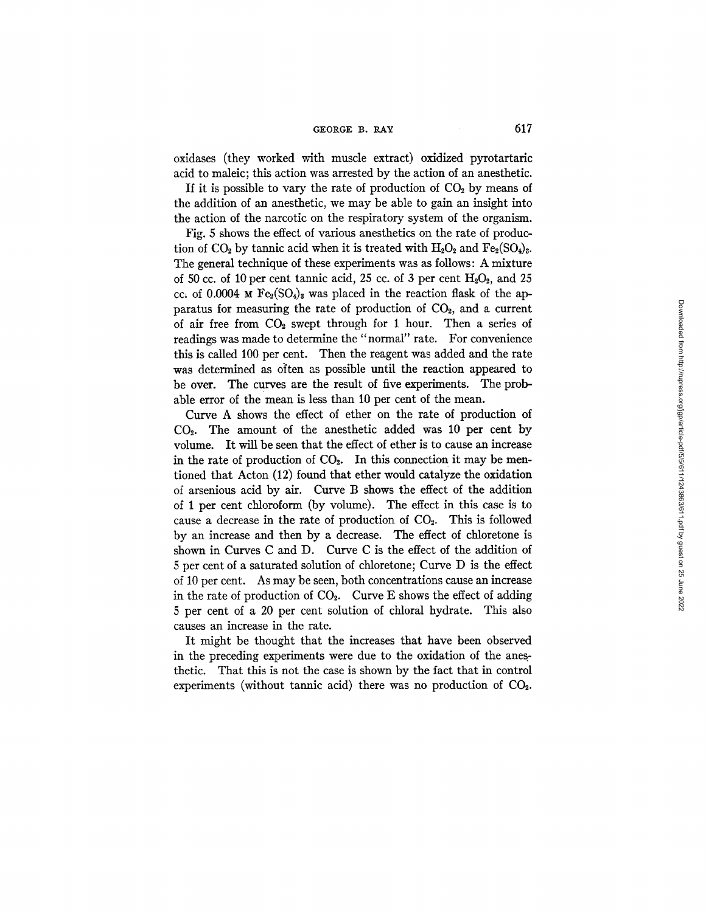oxidases (they worked with muscle extract) oxidized pyrotartaric acid to maleic; this action was arrested by the action of an anesthetic.

If it is possible to vary the rate of production of  $CO<sub>2</sub>$  by means of the addition of an anesthetic, we may be able to gain an insight into the action of the narcotic on the respiratory system of the organism.

Fig. 5 shows the effect of various anesthetics on the rate of production of  $CO<sub>2</sub>$  by tannic acid when it is treated with  $H<sub>2</sub>O<sub>2</sub>$  and  $Fe<sub>2</sub>(SO<sub>4</sub>)<sub>3</sub>$ . The general technique of these experiments was as follows: A mixture of 50 cc. of 10 per cent tannic acid, 25 cc. of 3 per cent  $H_2O_2$ , and 25 cc, of 0.0004  $\mu$  Fe<sub>2</sub>(SO<sub>4</sub>)<sub>3</sub> was placed in the reaction flask of the apparatus for measuring the rate of production of  $CO<sub>2</sub>$ , and a current of air free from  $CO<sub>2</sub>$  swept through for 1 hour. Then a series of readings was made to determine the "normal" rate. For convenience this is called 100 per cent. Then the reagent was added and the rate was determined as often as possible until the reaction appeared to be over. The curves are the result of five experiments. The probable error of the mean is less than 10 per cent of the mean.

Curve A shows the effect of ether on the rate of production of  $CO<sub>2</sub>$ . The amount of the anesthetic added was 10 per cent by volume. It will be seen that the effect of ether is to cause an increase in the rate of production of  $CO<sub>2</sub>$ . In this connection it may be mentioned that Acton (12) found that ether would catalyze the oxidation of arsenious acid by air. Curve B shows the effect of the addition of 1 per cent chloroform (by volume). The effect in this case is to cause a decrease in the rate of production of  $CO<sub>2</sub>$ . This is followed by an increase and then by a decrease. The effect of chloretone is shown in Curves C and D. Curve C is the effect of the addition of 5 per cent of a saturated solution of chloretone; Curve D is the effect of 10 per cent. As may be seen, both concentrations cause an increase in the rate of production of  $CO<sub>2</sub>$ . Curve E shows the effect of adding 5 per cent of a 20 per cent solution of chloral hydrate. This also causes an increase in the rate.

It might be thought that the increases that have been observed in the preceding experiments were due to the oxidation of the anesthetic. That this is not the case is shown by the fact that in control experiments (without tannic acid) there was no production of  $CO<sub>2</sub>$ .

Downloaded from http://rupress.org/igp/article-pdf/5/611/1243863/611.pdf by guest on 25 June 2022 Downloaded from http://rupress.org/jgp/article-pdf/5/5/611/1243863/611.pdf by guest on 25 June 2022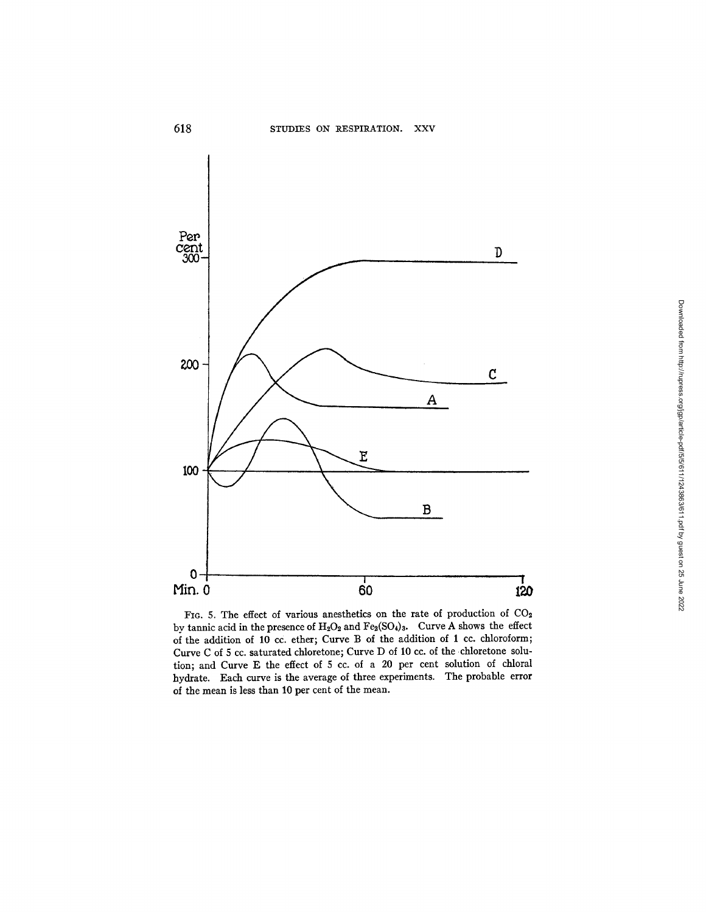

FIG. 5. The effect of various anesthetics on the rate of production of  $CO<sub>2</sub>$ by tannic acid in the presence of  $H_2O_2$  and  $Fe_2(SO_4)_3$ . Curve A shows the effect of the addition of 10 cc. ether; Curve B of the addition of 1 cc. chloroform; Curve C of 5 cc. saturated chloretone; Curve D of 10 cc. of the chloretone solution; and Curve E the effect of 5 cc. of a 20 per cent solution of chloral hydrate. Each curve is the average of three experiments. The probable error of the mean is less than 10 per cent of the mean.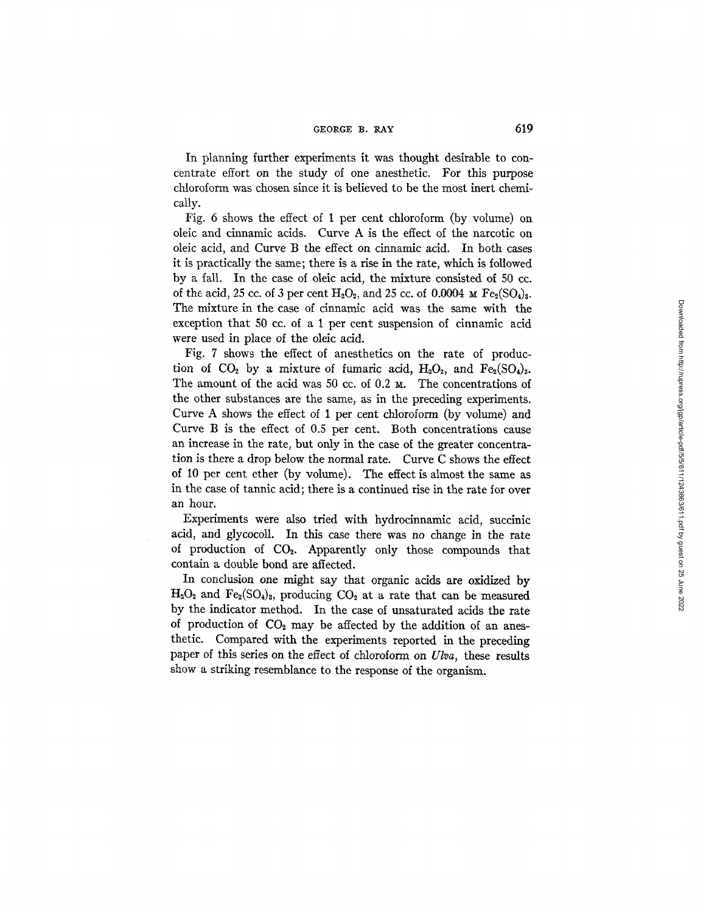In planning further experiments it was thought desirable to concentrate effort on the study of one anesthetic, For this purpose chloroform was chosen since it is believed to be the most inert chemically.

Fig. 6 shows the effect of 1 per cent chloroform (by volume) on oleic and cinnamic acids. Curve A is the effect of the narcotic on oleic acid, and Curve B the effect on cinnamic acid. In both cases it is practically the same; there is a rise in the rate, which is followed by a fall. In the case of oleic acid, the mixture consisted of 50 cc. of the acid, 25 cc. of 3 per cent  $H_2O_2$ , and 25 cc. of 0.0004  $\mu$  Fe<sub>2</sub>(SO<sub>4</sub>)<sub>3</sub>. The mixture in the case of cinnamic acid was the same with the exception that 50 cc. of a 1 per cent suspension of cinnamic acid were used in place of the oleic acid.

Fig. 7 shows the effect of anesthetics on the rate of production of  $CO<sub>2</sub>$  by a mixture of fumaric acid,  $H<sub>2</sub>O<sub>2</sub>$ , and  $Fe<sub>2</sub>(SO<sub>4</sub>)<sub>3</sub>$ . The amount of the acid was  $50$  cc. of  $0.2$   $\text{M}$ . The concentrations of the other substances are the same, as in the preceding experiments. Curve A shows the effect of 1 per cent chloroform (by volume) and Curve B is the effect of 0.5 per cent. Both concentrations cause an increase in the rate, but only in the case of the greater concentration is there a drop below the normal rate. Curve C shows the effect of 10 per cent ether (by volume). The effect is almost the same as in the case of tannic acid; there is a continued rise in the rate for over an hour.

Experiments were also tried with hydrocinnamic acid, succinic acid, and glycocoll. In this case there was no change in the rate of production of  $CO<sub>2</sub>$ . Apparently only those compounds that contain a double bond are affected.

In conclusion one might say that organic acids are oxidized by  $H_2O_2$  and  $Fe_2(SO_4)_3$ , producing  $CO_2$  at a rate that can be measured by the indicator method. In the case of unsaturated acids the rate of production of  $CO<sub>2</sub>$  may be affected by the addition of an anesthetic. Compared with the experiments reported in the preceding paper of this series on the effect of chloroform on *Ulva,* these results show a striking resemblance to the response of the organism.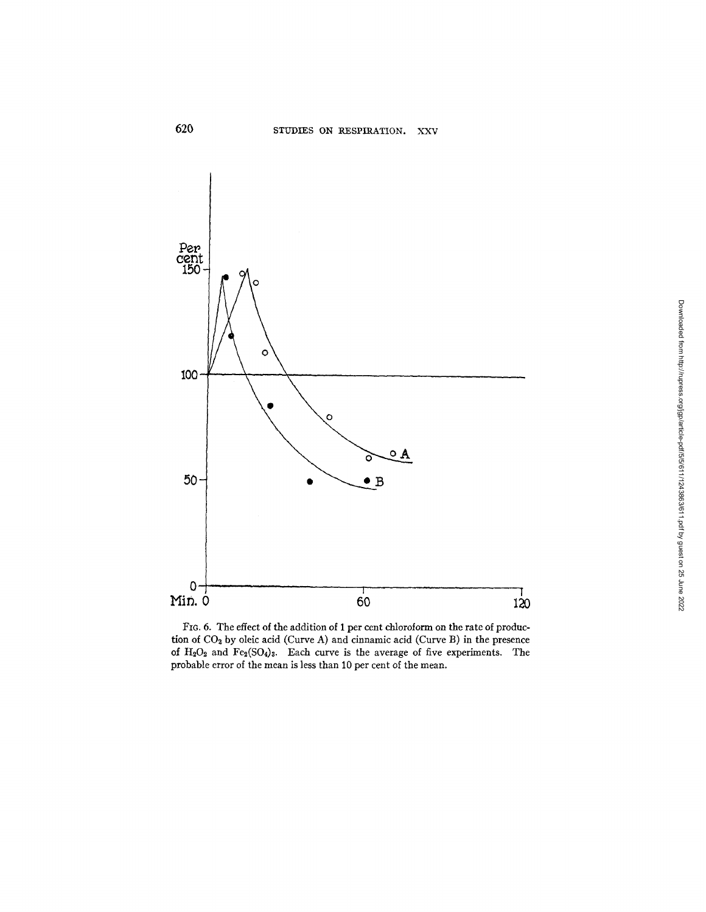

FIG. 6. The effect of the addition of 1 per cent chloroform on the rate of production of  $CO<sub>2</sub>$  by oleic acid (Curve A) and cinnamic acid (Curve B) in the presence of  $H_2O_2$  and  $Fe_2(SO_4)_3$ . Each curve is the average of five experiments. The probable error of the mean is less than 10 per cent of the mean.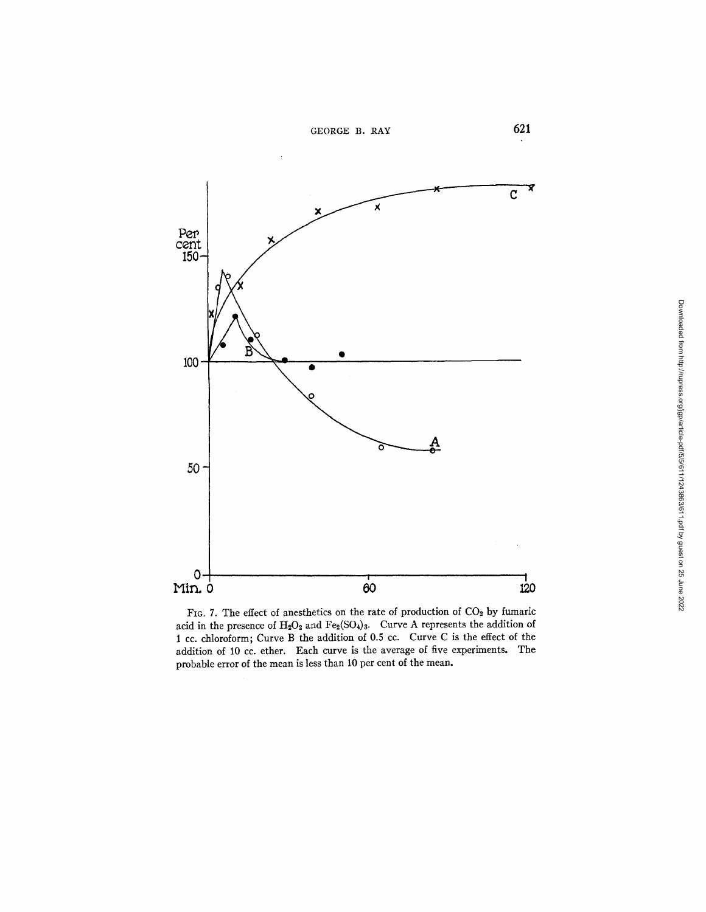

FIG. 7. The effect of anesthetics on the rate of production of  $CO<sub>2</sub>$  by fumaric acid in the presence of  $H_2O_2$  and  $Fe<sub>2</sub>(SO<sub>4</sub>)<sub>3</sub>$ . Curve A represents the addition of 1 cc. chloroform; Curve B the addition of 0.5 cc. Curve C is the effect of the addition of 10 cc. ether. Each curve is the average of five experiments. The probable error of the mean is less than 10 per cent of the mean.